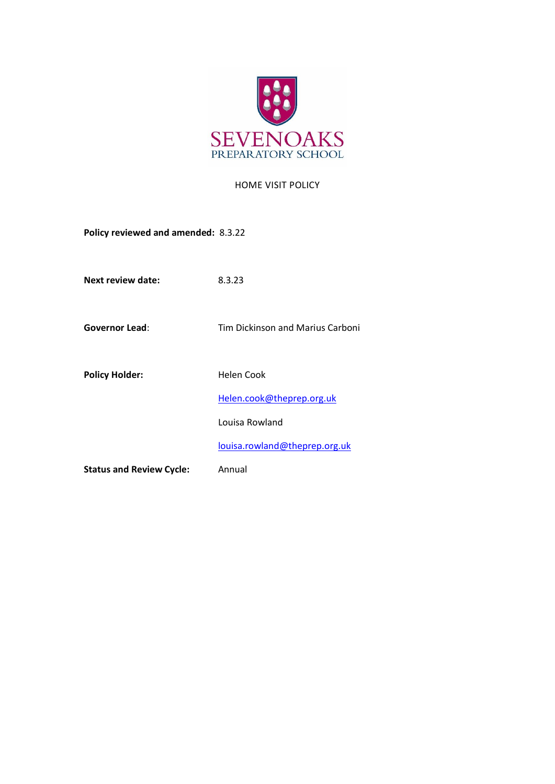

## HOME VISIT POLICY

**Policy reviewed and amended:** 8.3.22

**Next review date:** 8.3.23

**Governor Lead**: Tim Dickinson and Marius Carboni

Policy Holder: **Helen Cook** 

[Helen.cook@theprep.org.uk](mailto:Helen.cook@theprep.org.uk)

Louisa Rowland

[louisa.rowland@theprep.org.uk](mailto:Samantha.hayward@theprep.org.uk)

**Status and Review Cycle:** Annual